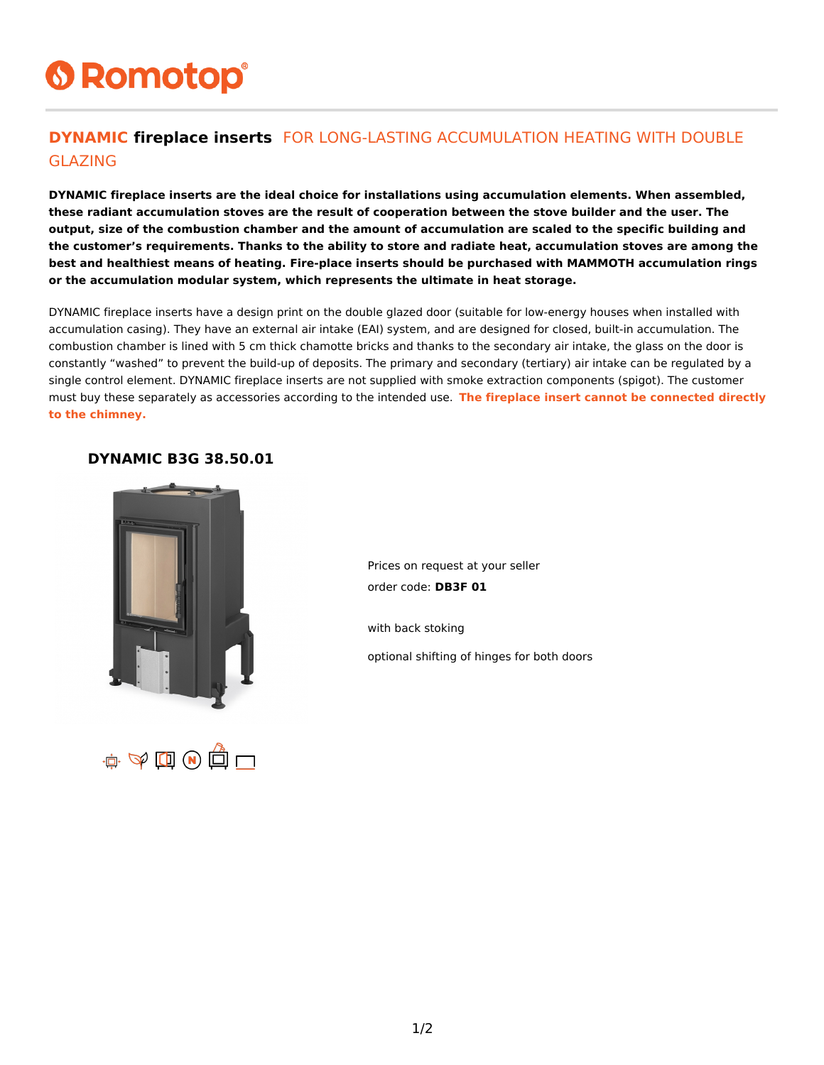# **6 Romotop®**

#### **DYNAMIC fireplace inserts** FOR LONG-LASTING ACCUMULATION HEATING WITH DOUBLE GLAZING

**DYNAMIC fireplace inserts are the ideal choice for installations using accumulation elements. When assembled, these radiant accumulation stoves are the result of cooperation between the stove builder and the user. The output, size of the combustion chamber and the amount of accumulation are scaled to the specific building and the customer's requirements. Thanks to the ability to store and radiate heat, accumulation stoves are among the best and healthiest means of heating. Fire-place inserts should be purchased with MAMMOTH accumulation rings or the accumulation modular system, which represents the ultimate in heat storage.**

DYNAMIC fireplace inserts have a design print on the double glazed door (suitable for low-energy houses when installed with accumulation casing). They have an external air intake (EAI) system, and are designed for closed, built-in accumulation. The combustion chamber is lined with 5 cm thick chamotte bricks and thanks to the secondary air intake, the glass on the door is constantly "washed" to prevent the build-up of deposits. The primary and secondary (tertiary) air intake can be regulated by a single control element. DYNAMIC fireplace inserts are not supplied with smoke extraction components (spigot). The customer must buy these separately as accessories according to the intended use. **The fireplace insert cannot be connected directly to the chimney.**

#### **DYNAMIC B3G 38.50.01**



 $\mathbf{r} \oplus \mathbf{r} \oplus \mathbf{r} \oplus \mathbf{r}$ 

Prices on request at your seller order code: **DB3F 01**

with back stoking

optional shifting of hinges for both doors